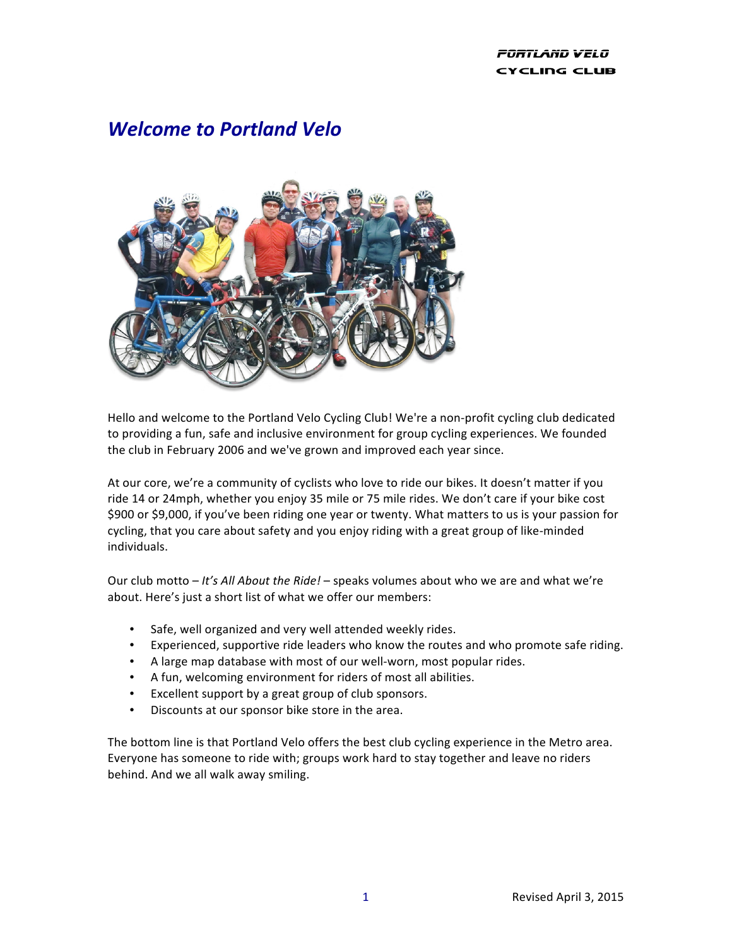### PORTLAND VELO CYCLING CLUB

# *Welcome to Portland Velo*



Hello and welcome to the Portland Velo Cycling Club! We're a non-profit cycling club dedicated to providing a fun, safe and inclusive environment for group cycling experiences. We founded the club in February 2006 and we've grown and improved each year since.

At our core, we're a community of cyclists who love to ride our bikes. It doesn't matter if you ride 14 or 24mph, whether you enjoy 35 mile or 75 mile rides. We don't care if your bike cost \$900 or \$9,000, if you've been riding one year or twenty. What matters to us is your passion for cycling, that you care about safety and you enjoy riding with a great group of like-minded individuals.

Our club motto – *It's All About the Ride!* – speaks volumes about who we are and what we're about. Here's just a short list of what we offer our members:

- Safe, well organized and very well attended weekly rides.
- Experienced, supportive ride leaders who know the routes and who promote safe riding.
- A large map database with most of our well-worn, most popular rides.
- A fun, welcoming environment for riders of most all abilities.
- Excellent support by a great group of club sponsors.
- Discounts at our sponsor bike store in the area.

The bottom line is that Portland Velo offers the best club cycling experience in the Metro area. Everyone has someone to ride with; groups work hard to stay together and leave no riders behind. And we all walk away smiling.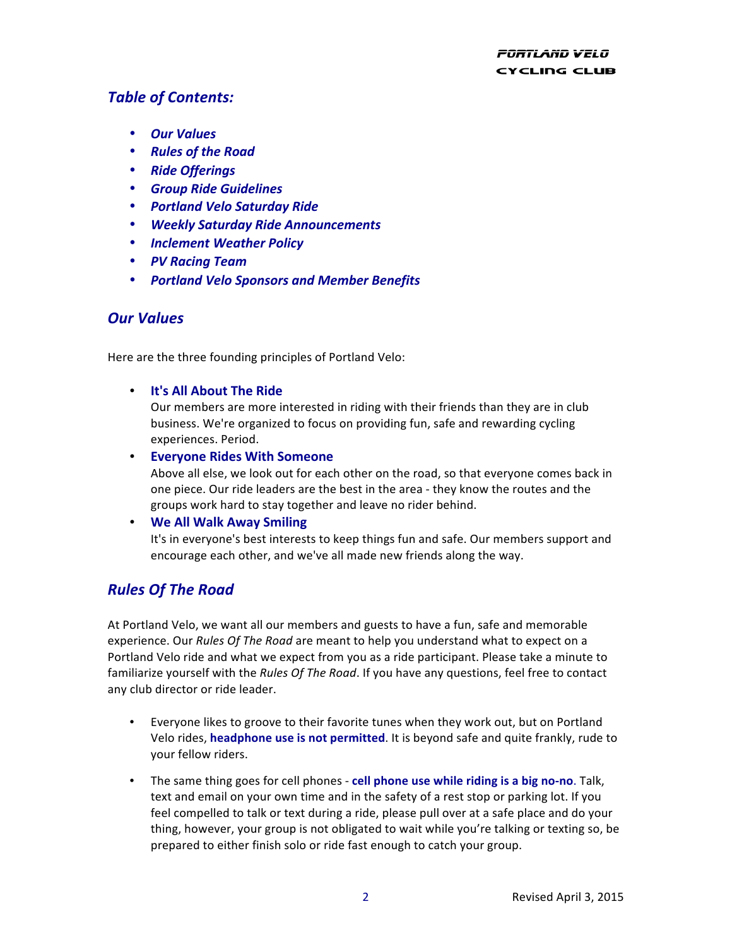## *Table of Contents:*

- *Our Values*
- *Rules of the Road*
- *Ride Offerings*
- *Group Ride Guidelines*
- *Portland Velo Saturday Ride*
- *Weekly Saturday Ride Announcements*
- *Inclement Weather Policy*
- *PV Racing Team*
- *Portland Velo Sponsors and Member Benefits*

## *Our Values*

Here are the three founding principles of Portland Velo:

• **It's All About The Ride**

Our members are more interested in riding with their friends than they are in club business. We're organized to focus on providing fun, safe and rewarding cycling experiences. Period.

• **Everyone Rides With Someone** Above all else, we look out for each other on the road, so that everyone comes back in one piece. Our ride leaders are the best in the area - they know the routes and the groups work hard to stay together and leave no rider behind.

### • **We All Walk Away Smiling**

It's in everyone's best interests to keep things fun and safe. Our members support and encourage each other, and we've all made new friends along the way.

## *Rules Of The Road*

At Portland Velo, we want all our members and guests to have a fun, safe and memorable experience. Our *Rules Of The Road* are meant to help you understand what to expect on a Portland Velo ride and what we expect from you as a ride participant. Please take a minute to familiarize yourself with the *Rules Of The Road*. If you have any questions, feel free to contact any club director or ride leader.

- Everyone likes to groove to their favorite tunes when they work out, but on Portland Velo rides, **headphone use is not permitted**. It is beyond safe and quite frankly, rude to your fellow riders.
- The same thing goes for cell phones cell phone use while riding is a big no-no. Talk, text and email on your own time and in the safety of a rest stop or parking lot. If you feel compelled to talk or text during a ride, please pull over at a safe place and do your thing, however, your group is not obligated to wait while you're talking or texting so, be prepared to either finish solo or ride fast enough to catch your group.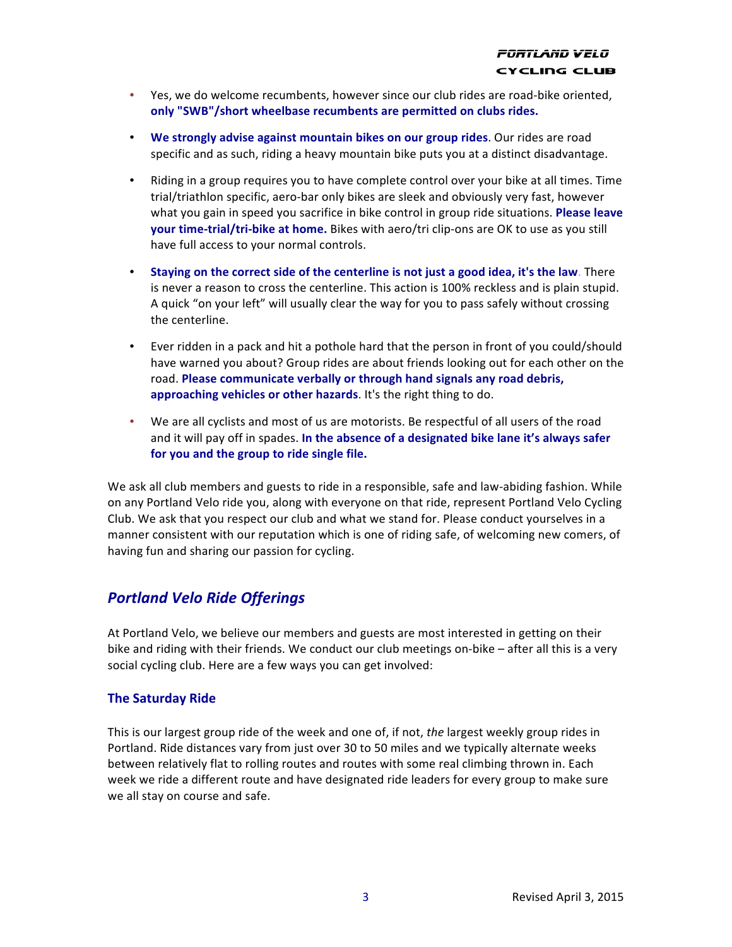- Yes, we do welcome recumbents, however since our club rides are road-bike oriented, only "SWB"/short wheelbase recumbents are permitted on clubs rides.
- We strongly advise against mountain bikes on our group rides. Our rides are road specific and as such, riding a heavy mountain bike puts you at a distinct disadvantage.
- Riding in a group requires you to have complete control over your bike at all times. Time trial/triathlon specific, aero-bar only bikes are sleek and obviously very fast, however what you gain in speed you sacrifice in bike control in group ride situations. **Please leave your time-trial/tri-bike at home.** Bikes with aero/tri clip-ons are OK to use as you still have full access to your normal controls.
- Staying on the correct side of the centerline is not just a good idea, it's the law. There is never a reason to cross the centerline. This action is 100% reckless and is plain stupid. A quick "on your left" will usually clear the way for you to pass safely without crossing the centerline.
- Ever ridden in a pack and hit a pothole hard that the person in front of you could/should have warned you about? Group rides are about friends looking out for each other on the road. Please communicate verbally or through hand signals any road debris, approaching vehicles or other hazards. It's the right thing to do.
- We are all cyclists and most of us are motorists. Be respectful of all users of the road and it will pay off in spades. In the absence of a designated bike lane it's always safer for you and the group to ride single file.

We ask all club members and guests to ride in a responsible, safe and law-abiding fashion. While on any Portland Velo ride you, along with everyone on that ride, represent Portland Velo Cycling Club. We ask that you respect our club and what we stand for. Please conduct yourselves in a manner consistent with our reputation which is one of riding safe, of welcoming new comers, of having fun and sharing our passion for cycling.

## *Portland Velo Ride Offerings*

At Portland Velo, we believe our members and guests are most interested in getting on their bike and riding with their friends. We conduct our club meetings on-bike – after all this is a very social cycling club. Here are a few ways you can get involved:

### **The Saturday Ride**

This is our largest group ride of the week and one of, if not, the largest weekly group rides in Portland. Ride distances vary from just over 30 to 50 miles and we typically alternate weeks between relatively flat to rolling routes and routes with some real climbing thrown in. Each week we ride a different route and have designated ride leaders for every group to make sure we all stay on course and safe.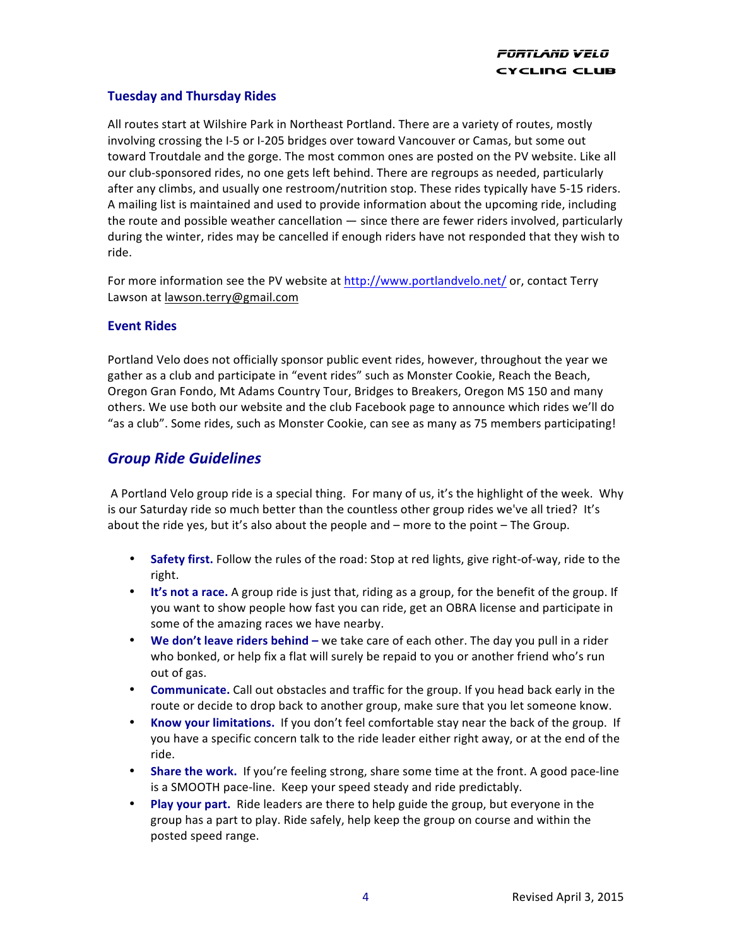### **Tuesday and Thursday Rides**

All routes start at Wilshire Park in Northeast Portland. There are a variety of routes, mostly involving crossing the I-5 or I-205 bridges over toward Vancouver or Camas, but some out toward Troutdale and the gorge. The most common ones are posted on the PV website. Like all our club-sponsored rides, no one gets left behind. There are regroups as needed, particularly after any climbs, and usually one restroom/nutrition stop. These rides typically have 5-15 riders. A mailing list is maintained and used to provide information about the upcoming ride, including the route and possible weather cancellation  $-$  since there are fewer riders involved, particularly during the winter, rides may be cancelled if enough riders have not responded that they wish to ride.

For more information see the PV website at http://www.portlandvelo.net/ or, contact Terry Lawson at lawson.terry@gmail.com

### **Event Rides**

Portland Velo does not officially sponsor public event rides, however, throughout the year we gather as a club and participate in "event rides" such as Monster Cookie, Reach the Beach, Oregon Gran Fondo, Mt Adams Country Tour, Bridges to Breakers, Oregon MS 150 and many others. We use both our website and the club Facebook page to announce which rides we'll do "as a club". Some rides, such as Monster Cookie, can see as many as 75 members participating!

## *Group Ride Guidelines*

A Portland Velo group ride is a special thing. For many of us, it's the highlight of the week. Why is our Saturday ride so much better than the countless other group rides we've all tried? It's about the ride yes, but it's also about the people and  $-$  more to the point  $-$  The Group.

- Safety first. Follow the rules of the road: Stop at red lights, give right-of-way, ride to the right.
- It's not a race. A group ride is just that, riding as a group, for the benefit of the group. If you want to show people how fast you can ride, get an OBRA license and participate in some of the amazing races we have nearby.
- **We don't leave riders behind** we take care of each other. The day you pull in a rider who bonked, or help fix a flat will surely be repaid to you or another friend who's run out of gas.
- **Communicate.** Call out obstacles and traffic for the group. If you head back early in the route or decide to drop back to another group, make sure that you let someone know.
- Know your limitations. If you don't feel comfortable stay near the back of the group. If you have a specific concern talk to the ride leader either right away, or at the end of the ride.
- **Share the work.** If you're feeling strong, share some time at the front. A good pace-line is a SMOOTH pace-line. Keep your speed steady and ride predictably.
- **Play your part.** Ride leaders are there to help guide the group, but everyone in the group has a part to play. Ride safely, help keep the group on course and within the posted speed range.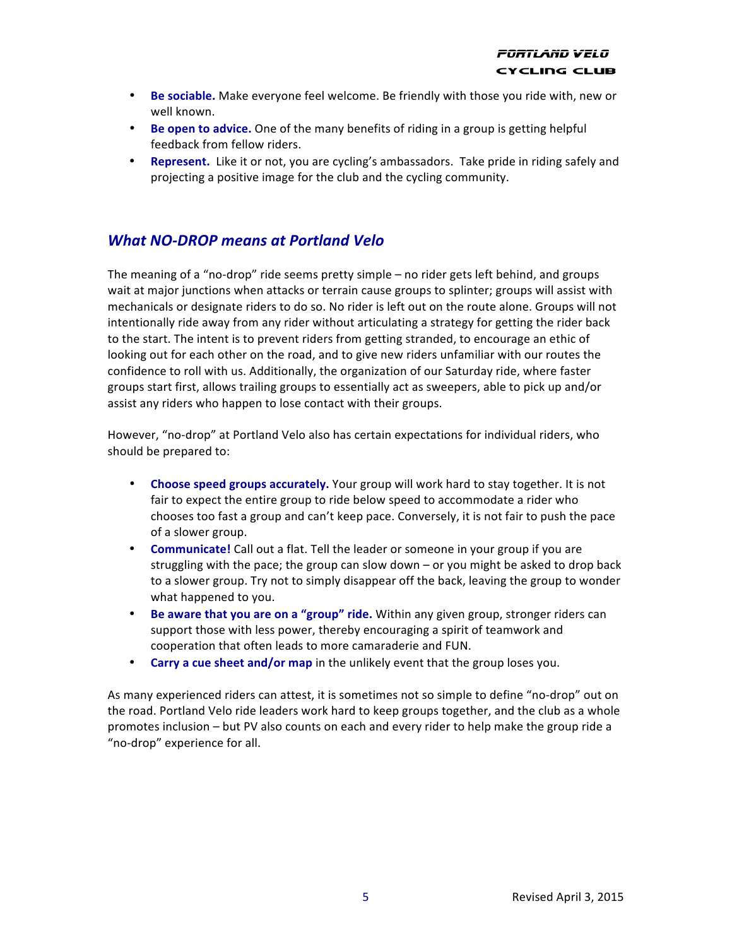- Be sociable. Make everyone feel welcome. Be friendly with those you ride with, new or well known.
- **Be open to advice.** One of the many benefits of riding in a group is getting helpful feedback from fellow riders.
- **Represent.** Like it or not, you are cycling's ambassadors. Take pride in riding safely and projecting a positive image for the club and the cycling community.

## *What NO-DROP means at Portland Velo*

The meaning of a "no-drop" ride seems pretty simple  $-$  no rider gets left behind, and groups wait at major junctions when attacks or terrain cause groups to splinter; groups will assist with mechanicals or designate riders to do so. No rider is left out on the route alone. Groups will not intentionally ride away from any rider without articulating a strategy for getting the rider back to the start. The intent is to prevent riders from getting stranded, to encourage an ethic of looking out for each other on the road, and to give new riders unfamiliar with our routes the confidence to roll with us. Additionally, the organization of our Saturday ride, where faster groups start first, allows trailing groups to essentially act as sweepers, able to pick up and/or assist any riders who happen to lose contact with their groups.

However, "no-drop" at Portland Velo also has certain expectations for individual riders, who should be prepared to:

- Choose speed groups accurately. Your group will work hard to stay together. It is not fair to expect the entire group to ride below speed to accommodate a rider who chooses too fast a group and can't keep pace. Conversely, it is not fair to push the pace of a slower group.
- **Communicate!** Call out a flat. Tell the leader or someone in your group if you are struggling with the pace; the group can slow down  $-$  or you might be asked to drop back to a slower group. Try not to simply disappear off the back, leaving the group to wonder what happened to you.
- **Be aware that you are on a "group" ride.** Within any given group, stronger riders can support those with less power, thereby encouraging a spirit of teamwork and cooperation that often leads to more camaraderie and FUN.
- **Carry a cue sheet and/or map** in the unlikely event that the group loses you.

As many experienced riders can attest, it is sometimes not so simple to define "no-drop" out on the road. Portland Velo ride leaders work hard to keep groups together, and the club as a whole promotes inclusion – but PV also counts on each and every rider to help make the group ride a "no-drop" experience for all.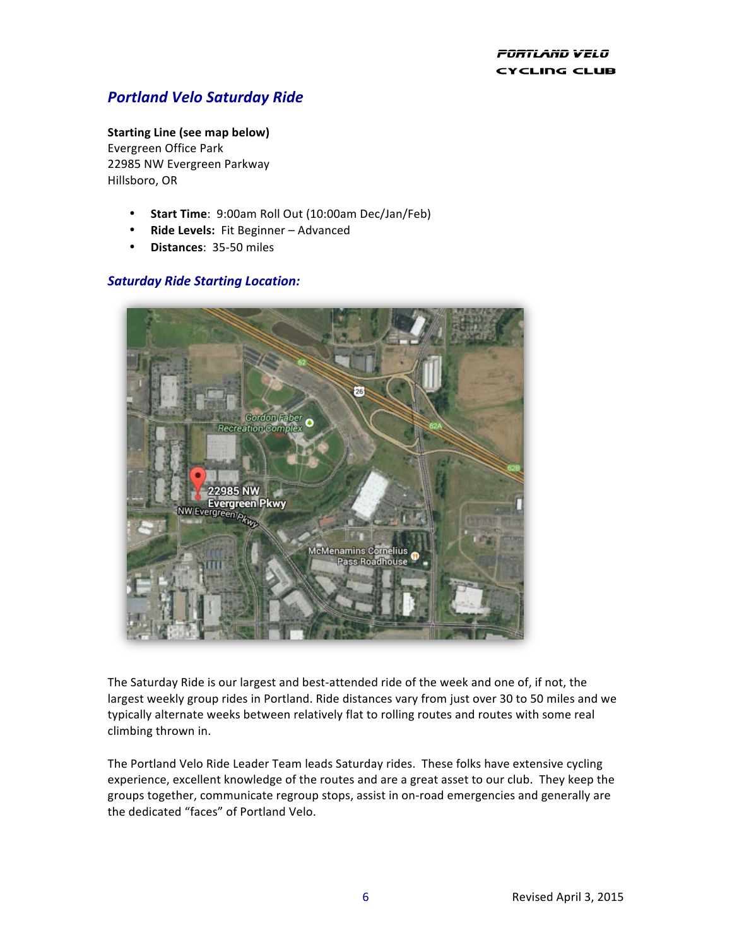## *Portland Velo Saturday Ride*

#### **Starting Line (see map below)**

Evergreen Office Park 22985 NW Evergreen Parkway Hillsboro, OR

- Start Time: 9:00am Roll Out (10:00am Dec/Jan/Feb)
- **Ride Levels:** Fit Beginner Advanced
- **Distances**: 35-50 miles

### *Saturday Ride Starting Location:*



The Saturday Ride is our largest and best-attended ride of the week and one of, if not, the largest weekly group rides in Portland. Ride distances vary from just over 30 to 50 miles and we typically alternate weeks between relatively flat to rolling routes and routes with some real climbing thrown in.

The Portland Velo Ride Leader Team leads Saturday rides. These folks have extensive cycling experience, excellent knowledge of the routes and are a great asset to our club. They keep the groups together, communicate regroup stops, assist in on-road emergencies and generally are the dedicated "faces" of Portland Velo.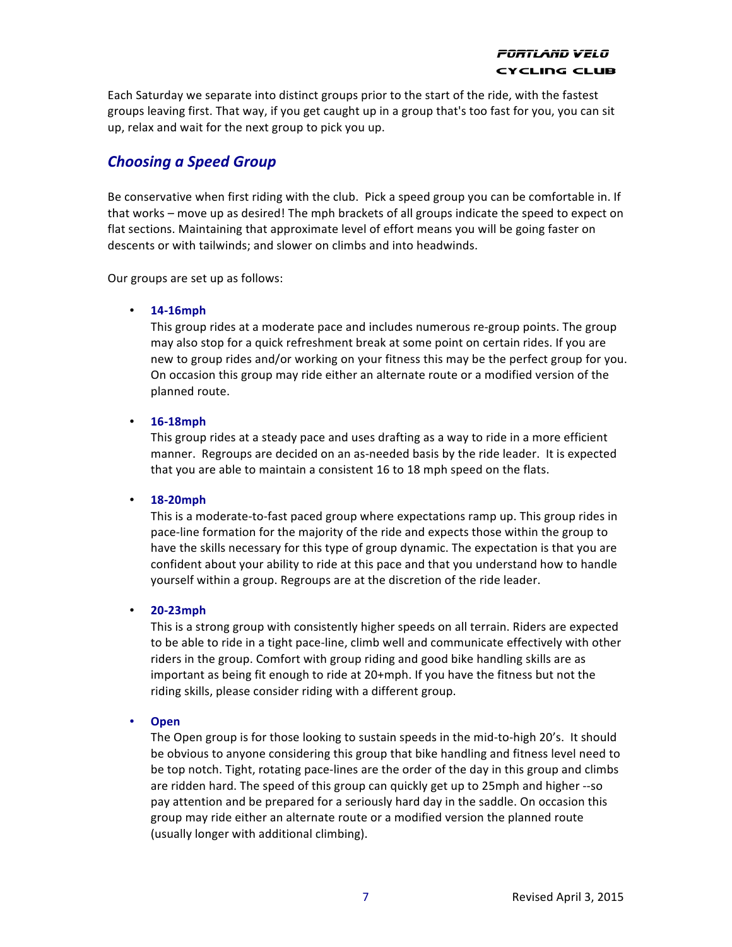Each Saturday we separate into distinct groups prior to the start of the ride, with the fastest groups leaving first. That way, if you get caught up in a group that's too fast for you, you can sit up, relax and wait for the next group to pick you up.

## **Choosing a Speed Group**

Be conservative when first riding with the club. Pick a speed group you can be comfortable in. If that works – move up as desired! The mph brackets of all groups indicate the speed to expect on flat sections. Maintaining that approximate level of effort means you will be going faster on descents or with tailwinds; and slower on climbs and into headwinds.

Our groups are set up as follows:

#### • **14-16mph**

This group rides at a moderate pace and includes numerous re-group points. The group may also stop for a quick refreshment break at some point on certain rides. If you are new to group rides and/or working on your fitness this may be the perfect group for you. On occasion this group may ride either an alternate route or a modified version of the planned route.

#### • **16-18mph**

This group rides at a steady pace and uses drafting as a way to ride in a more efficient manner. Regroups are decided on an as-needed basis by the ride leader. It is expected that you are able to maintain a consistent 16 to 18 mph speed on the flats.

#### • **18-20mph**

This is a moderate-to-fast paced group where expectations ramp up. This group rides in pace-line formation for the majority of the ride and expects those within the group to have the skills necessary for this type of group dynamic. The expectation is that you are confident about your ability to ride at this pace and that you understand how to handle yourself within a group. Regroups are at the discretion of the ride leader.

#### • **20-23mph**

This is a strong group with consistently higher speeds on all terrain. Riders are expected to be able to ride in a tight pace-line, climb well and communicate effectively with other riders in the group. Comfort with group riding and good bike handling skills are as important as being fit enough to ride at  $20+$ mph. If you have the fitness but not the riding skills, please consider riding with a different group.

#### • **Open**

The Open group is for those looking to sustain speeds in the mid-to-high 20's. It should be obvious to anyone considering this group that bike handling and fitness level need to be top notch. Tight, rotating pace-lines are the order of the day in this group and climbs are ridden hard. The speed of this group can quickly get up to 25mph and higher --so pay attention and be prepared for a seriously hard day in the saddle. On occasion this group may ride either an alternate route or a modified version the planned route (usually longer with additional climbing).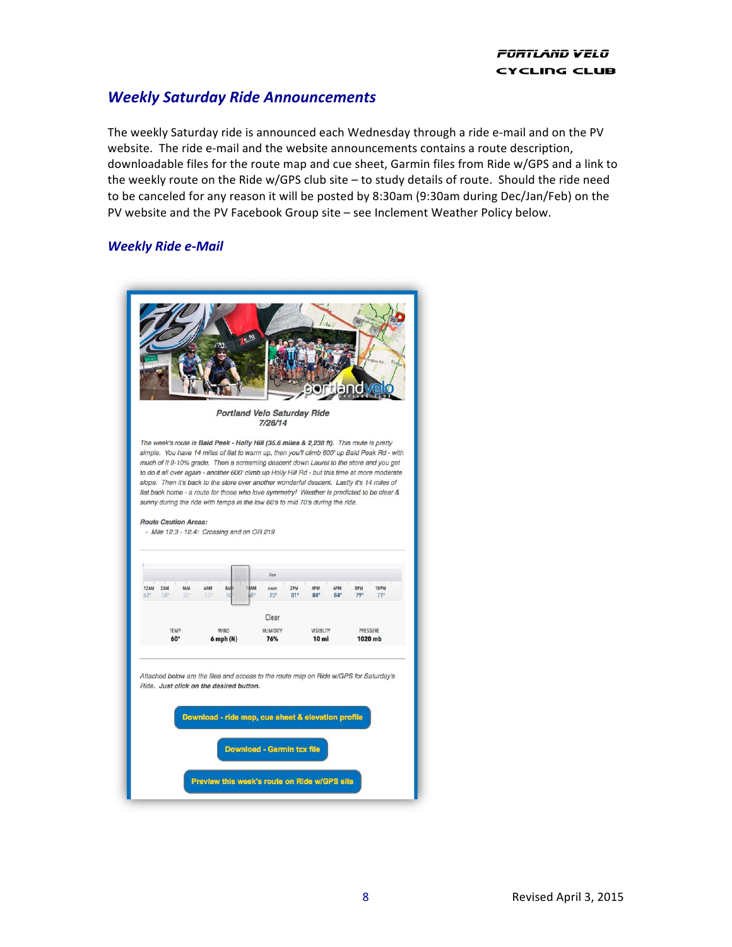## *Weekly Saturday Ride Announcements*

The weekly Saturday ride is announced each Wednesday through a ride e-mail and on the PV website. The ride e-mail and the website announcements contains a route description, downloadable files for the route map and cue sheet, Garmin files from Ride w/GPS and a link to the weekly route on the Ride w/GPS club site  $-$  to study details of route. Should the ride need to be canceled for any reason it will be posted by 8:30am (9:30am during Dec/Jan/Feb) on the PV website and the PV Facebook Group site - see Inclement Weather Policy below.

### *Weekly Ride e-Mail*

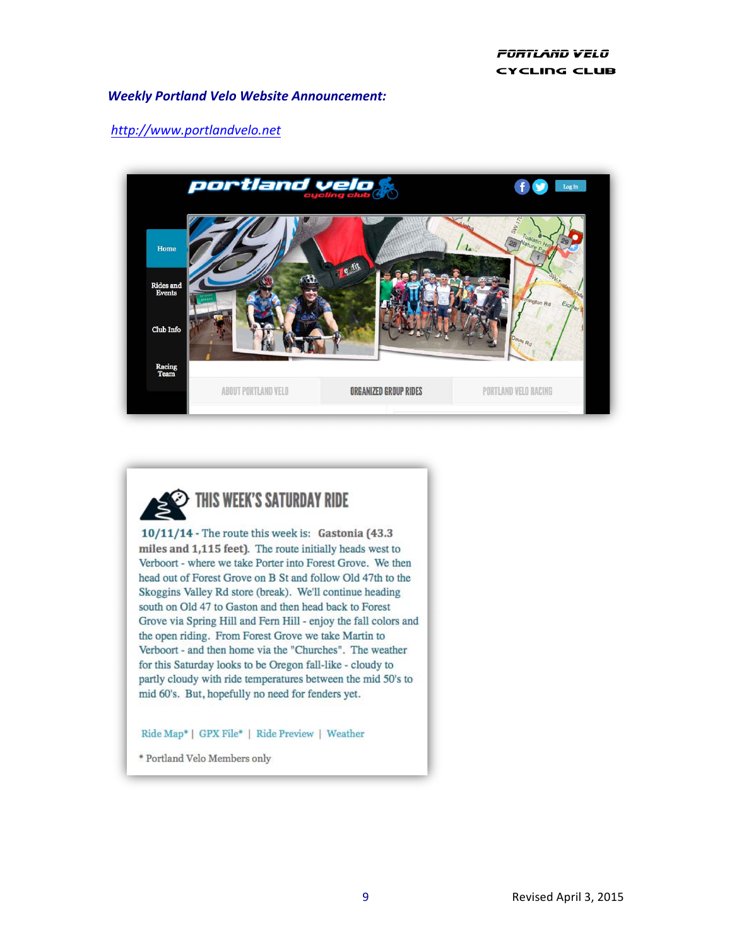### *Weekly Portland Velo Website Announcement:*

### *http://www.portlandvelo.net*





 $10/11/14$  - The route this week is: Gastonia (43.3) miles and 1,115 feet). The route initially heads west to Verboort - where we take Porter into Forest Grove. We then head out of Forest Grove on B St and follow Old 47th to the Skoggins Valley Rd store (break). We'll continue heading south on Old 47 to Gaston and then head back to Forest Grove via Spring Hill and Fern Hill - enjoy the fall colors and the open riding. From Forest Grove we take Martin to Verboort - and then home via the "Churches". The weather for this Saturday looks to be Oregon fall-like - cloudy to partly cloudy with ride temperatures between the mid 50's to mid 60's. But, hopefully no need for fenders yet.

#### Ride Map\* | GPX File\* | Ride Preview | Weather

\* Portland Velo Members only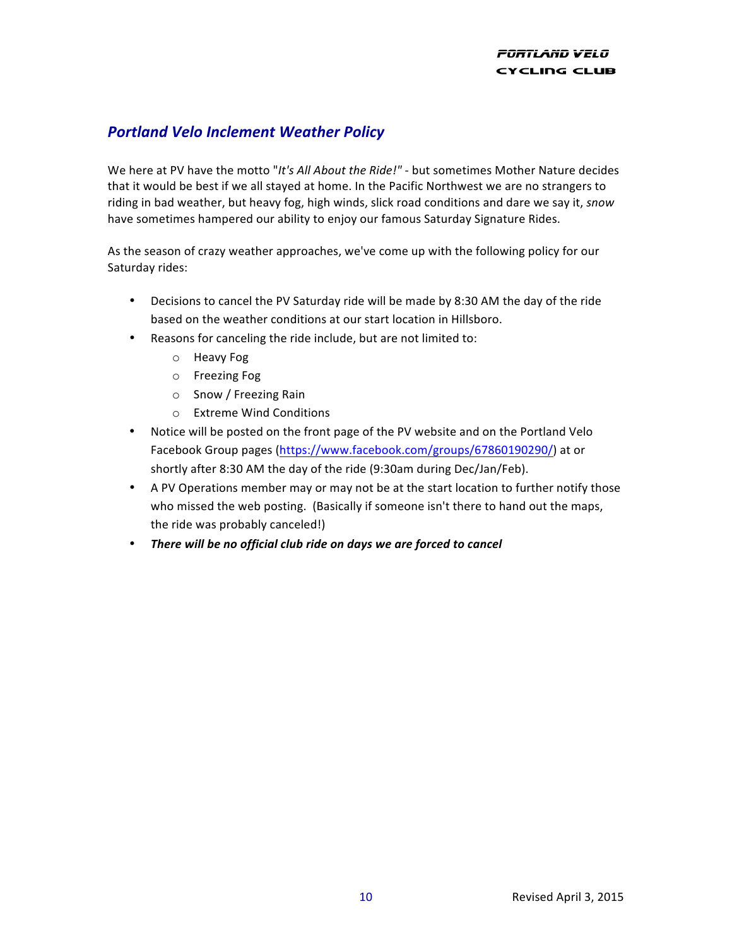### **PORTLAND VELO CYCLING CLUB**

## *Portland Velo Inclement Weather Policy*

We here at PV have the motto "It's All About the Ride!" - but sometimes Mother Nature decides that it would be best if we all stayed at home. In the Pacific Northwest we are no strangers to riding in bad weather, but heavy fog, high winds, slick road conditions and dare we say it, *snow* have sometimes hampered our ability to enjoy our famous Saturday Signature Rides.

As the season of crazy weather approaches, we've come up with the following policy for our Saturday rides:

- Decisions to cancel the PV Saturday ride will be made by 8:30 AM the day of the ride based on the weather conditions at our start location in Hillsboro.
- Reasons for canceling the ride include, but are not limited to:
	- o Heavy Fog
	- o Freezing Fog
	- $\circ$  Snow / Freezing Rain
	- o Extreme Wind Conditions
- Notice will be posted on the front page of the PV website and on the Portland Velo Facebook Group pages (https://www.facebook.com/groups/67860190290/) at or shortly after 8:30 AM the day of the ride (9:30am during Dec/Jan/Feb).
- A PV Operations member may or may not be at the start location to further notify those who missed the web posting. (Basically if someone isn't there to hand out the maps, the ride was probably canceled!)
- There will be no official club ride on days we are forced to cancel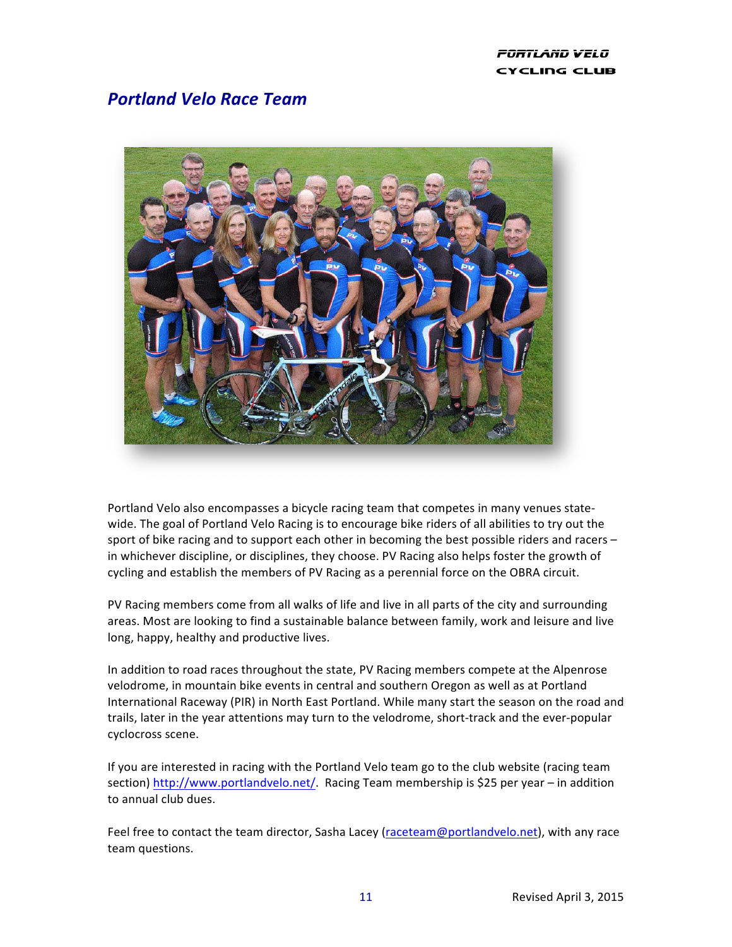### PORTLAND VELO CYCLING CLUB

## *Portland Velo Race Team*



Portland Velo also encompasses a bicycle racing team that competes in many venues statewide. The goal of Portland Velo Racing is to encourage bike riders of all abilities to try out the sport of bike racing and to support each other in becoming the best possible riders and racers in whichever discipline, or disciplines, they choose. PV Racing also helps foster the growth of cycling and establish the members of PV Racing as a perennial force on the OBRA circuit.

PV Racing members come from all walks of life and live in all parts of the city and surrounding areas. Most are looking to find a sustainable balance between family, work and leisure and live long, happy, healthy and productive lives.

In addition to road races throughout the state, PV Racing members compete at the Alpenrose velodrome, in mountain bike events in central and southern Oregon as well as at Portland International Raceway (PIR) in North East Portland. While many start the season on the road and trails, later in the year attentions may turn to the velodrome, short-track and the ever-popular cyclocross scene.

If you are interested in racing with the Portland Velo team go to the club website (racing team section) http://www.portlandvelo.net/. Racing Team membership is \$25 per year – in addition to annual club dues.

Feel free to contact the team director, Sasha Lacey (raceteam@portlandvelo.net), with any race team questions.